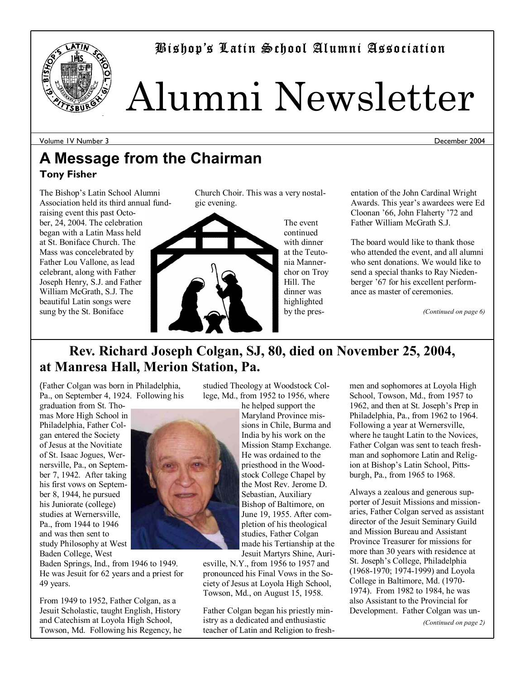



# Alumni Newsletter

Volume 1V Number 3

December 2004

### **A Message from the Chairman Tony Fisher**

The Bishop's Latin School Alumni Association held its third annual fundraising event this past October, 24, 2004. The celebration began with a Latin Mass held at St. Boniface Church. The Mass was concelebrated by Father Lou Vallone, as lead celebrant, along with Father Joseph Henry, S.J. and Father William McGrath, S.J. The beautiful Latin songs were sung by the St. Boniface





The event continued with dinner at the Teutonia Mannerchor on Troy Hill. The dinner was highlighted by the presentation of the John Cardinal Wright Awards. This year's awardees were Ed Cloonan '66, John Flaherty '72 and Father William McGrath S.J.

The board would like to thank those who attended the event, and all alumni who sent donations. We would like to send a special thanks to Ray Niedenberger '67 for his excellent performance as master of ceremonies.

*(Continued on page 6)* 

### **Rev. Richard Joseph Colgan, SJ, 80, died on November 25, 2004, at Manresa Hall, Merion Station, Pa.**

(Father Colgan was born in Philadelphia, Pa., on September 4, 1924. Following his

graduation from St. Thomas More High School in Philadelphia, Father Colgan entered the Society of Jesus at the Novitiate of St. Isaac Jogues, Wernersville, Pa., on September 7, 1942. After taking his first vows on September 8, 1944, he pursued his Juniorate (college) studies at Wernersville, Pa., from 1944 to 1946 and was then sent to study Philosophy at West Baden College, West

Baden Springs, Ind., from 1946 to 1949. He was Jesuit for 62 years and a priest for 49 years.

From 1949 to 1952, Father Colgan, as a Jesuit Scholastic, taught English, History and Catechism at Loyola High School, Towson, Md. Following his Regency, he studied Theology at Woodstock College, Md., from 1952 to 1956, where

he helped support the Maryland Province missions in Chile, Burma and India by his work on the Mission Stamp Exchange. He was ordained to the priesthood in the Woodstock College Chapel by the Most Rev. Jerome D. Sebastian, Auxiliary Bishop of Baltimore, on June 19, 1955. After completion of his theological studies, Father Colgan made his Tertianship at the

Jesuit Martyrs Shine, Auriesville, N.Y., from 1956 to 1957 and pronounced his Final Vows in the Society of Jesus at Loyola High School, Towson, Md., on August 15, 1958.

Father Colgan began his priestly ministry as a dedicated and enthusiastic teacher of Latin and Religion to freshmen and sophomores at Loyola High School, Towson, Md., from 1957 to 1962, and then at St. Joseph's Prep in Philadelphia, Pa., from 1962 to 1964. Following a year at Wernersville, where he taught Latin to the Novices, Father Colgan was sent to teach freshman and sophomore Latin and Religion at Bishop's Latin School, Pittsburgh, Pa., from 1965 to 1968.

Always a zealous and generous supporter of Jesuit Missions and missionaries, Father Colgan served as assistant director of the Jesuit Seminary Guild and Mission Bureau and Assistant Province Treasurer for missions for more than 30 years with residence at St. Joseph's College, Philadelphia (1968-1970; 1974-1999) and Loyola College in Baltimore, Md. (1970- 1974). From 1982 to 1984, he was also Assistant to the Provincial for Development. Father Colgan was un-

*(Continued on page 2)* 

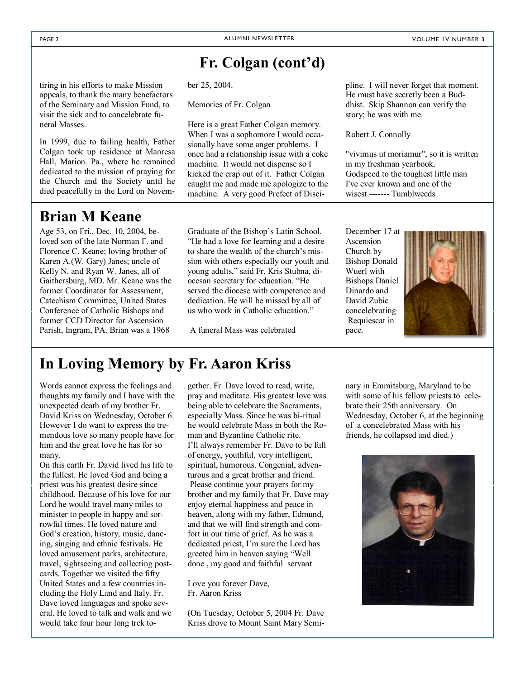### Fr. Colgan (cont<sup>'</sup>d)

tiring in his efforts to make Mission appeals, to thank the many benefactors of the Seminary and Mission Fund, to visit the sick and to concelebrate funeral Masses.

In 1999, due to failing health, Father Colgan took up residence at Manresa Hall, Marion. Pa., where he remained dedicated to the mission of praying for the Church and the Society until he died peacefully in the Lord on Novem-

### **Brian M Keane**

j

Age 53, on Fri., Dec. 10, 2004, beloved son of the late Norman F. and Florence C. Keane; loving brother of Karen A.(W. Gary) Janes; uncle of Kelly N. and Ryan W. Janes, all of Gaithersburg, MD. Mr. Keane was the former Coordinator for Assessment, Catechism Committee, United States Conference of Catholic Bishops and former CCD Director for Ascension Parish, Ingram, PA. Brian was a 1968

ber 25, 2004.

Memories of Fr. Colgan

Here is a great Father Colgan memory. When I was a sophomore I would occasionally have some anger problems. I once had a relationship issue with a coke machine. It would not dispense so I kicked the crap out of it. Father Colgan caught me and made me apologize to the machine. A very good Prefect of Disci-

Graduate of the Bishop's Latin School. "He had a love for learning and a desire" to share the wealth of the church's mission with others especially our youth and young adults," said Fr. Kris Stubna, diocesan secretary for education. "He served the diocese with competence and dedication. He will be missed by all of us who work in Catholic education."

A funeral Mass was celebrated

pline. I will never forget that moment. He must have secretly been a Buddhist. Skip Shannon can verify the story; he was with me.

Robert J. Connolly

"vivimus ut moriamur", so it is written in my freshman yearbook. Godspeed to the toughest little man I've ever known and one of the wisest.------- Tumblweeds

December 17 at Ascension Church by Bishop Donald Wuerl with Bishops Daniel Dinardo and David Zubic concelebrating Requiescat in pace.



### **In Loving Memory by Fr. Aaron Kriss**

Words cannot express the feelings and thoughts my family and I have with the unexpected death of my brother Fr. David Kriss on Wednesday, October 6. However I do want to express the tremendous love so many people have for him and the great love he has for so many.

On this earth Fr. David lived his life to the fullest. He loved God and being a priest was his greatest desire since childhood. Because of his love for our Lord he would travel many miles to minister to people in happy and sorrowful times. He loved nature and God's creation, history, music, dancing, singing and ethnic festivals. He loved amusement parks, architecture, travel, sightseeing and collecting postcards. Together we visited the fifty United States and a few countries including the Holy Land and Italy. Fr. Dave loved languages and spoke several. He loved to talk and walk and we would take four hour long trek together. Fr. Dave loved to read, write, pray and meditate. His greatest love was being able to celebrate the Sacraments, especially Mass. Since he was bi-ritual he would celebrate Mass in both the Roman and Byzantine Catholic rite. I'll always remember Fr. Dave to be full of energy, youthful, very intelligent, spiritual, humorous. Congenial, adventurous and a great brother and friend. Please continue your prayers for my brother and my family that Fr. Dave may enjoy eternal happiness and peace in heaven, along with my father, Edmund, and that we will find strength and comfort in our time of grief. As he was a dedicated priest, I'm sure the Lord has greeted him in heaven saying "Well done , my good and faithful servant

Love you forever Dave, Fr. Aaron Kriss

(On Tuesday, October 5, 2004 Fr. Dave Kriss drove to Mount Saint Mary Seminary in Emmitsburg, Maryland to be with some of his fellow priests to celebrate their 25th anniversary. On Wednesday, October 6, at the beginning of a concelebrated Mass with his friends, he collapsed and died.)

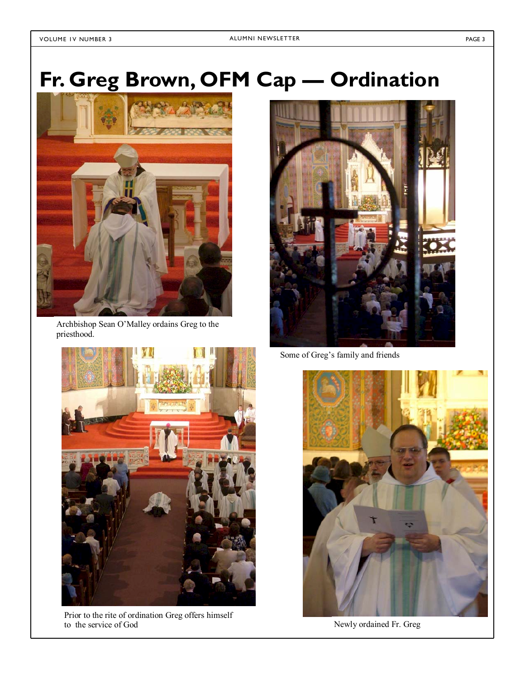# Fr. Greg Brown, OFM Cap - Ordination



Archbishop Sean O'Malley ordains Greg to the priesthood.



Prior to the rite of ordination Greg offers himself to the service of God Newly ordained Fr. Greg



Some of Greg's family and friends

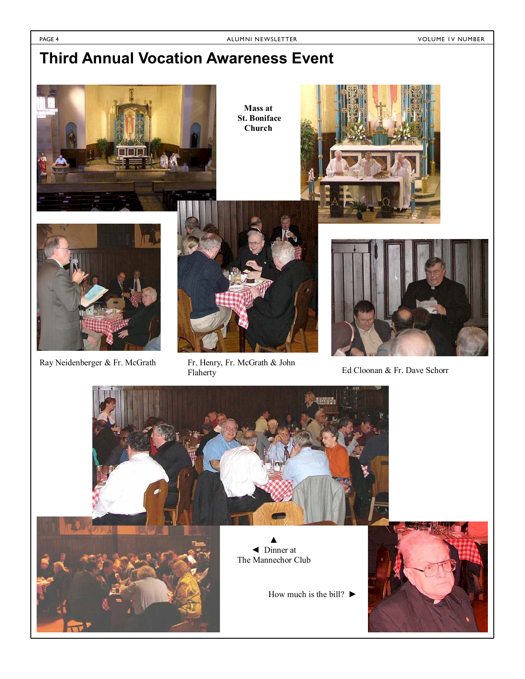### **Third Annual Vocation Awareness Event**



**Mass at St. Boniface Church** 







Ray Neidenberger & Fr. McGrath Fr. Henry, Fr. McGrath & John<br>Flaherty Fr. McGrath & John Ed Cloonan & Fr. Dave Schorr Flaherty



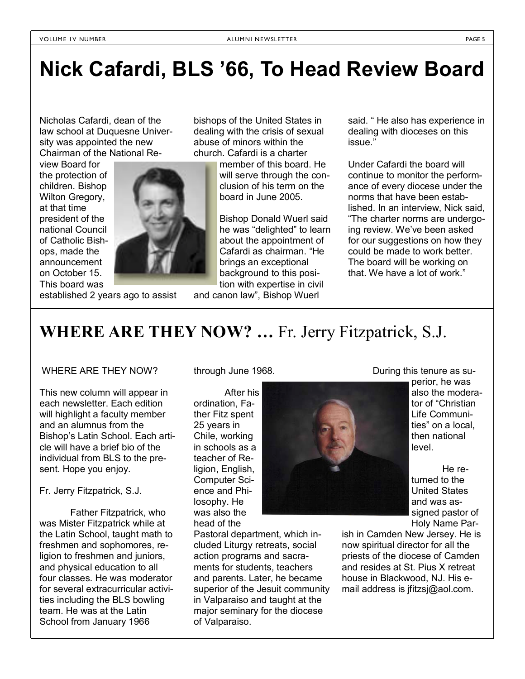## **Nick Cafardi, BLS í66, To Head Review Board**

Nicholas Cafardi, dean of the law school at Duquesne University was appointed the new Chairman of the National Re-

view Board for the protection of children. Bishop Wilton Gregory, at that time president of the national Council of Catholic Bishops, made the announcement on October 15. This board was



bishops of the United States in dealing with the crisis of sexual abuse of minors within the church. Cafardi is a charter

member of this board. He will serve through the conclusion of his term on the board in June 2005.

Bishop Donald Wuerl said he was "delighted" to learn about the appointment of Cafardi as chairman. "He brings an exceptional background to this position with expertise in civil

established 2 years ago to assist

and canon law", Bishop Wuerl

said. "He also has experience in dealing with dioceses on this issue."

Under Cafardi the board will continue to monitor the performance of every diocese under the norms that have been established. In an interview, Nick said, ìThe charter norms are undergoing review. We've been asked for our suggestions on how they could be made to work better. The board will be working on that. We have a lot of work."

WHERE ARE THEY NOW? ... Fr. Jerry Fitzpatrick, S.J.

#### WHERE ARE THEY NOW?

This new column will appear in each newsletter. Each edition will highlight a faculty member and an alumnus from the Bishop's Latin School. Each article will have a brief bio of the individual from BLS to the present. Hope you enjoy.

Fr. Jerry Fitzpatrick, S.J.

 Father Fitzpatrick, who was Mister Fitzpatrick while at the Latin School, taught math to freshmen and sophomores, religion to freshmen and juniors, and physical education to all four classes. He was moderator for several extracurricular activities including the BLS bowling team. He was at the Latin School from January 1966

through June 1968.

 After his ordination, Father Fitz spent 25 years in Chile, working in schools as a teacher of Religion, English, Computer Science and Philosophy. He was also the head of the

Pastoral department, which included Liturgy retreats, social action programs and sacraments for students, teachers and parents. Later, he became superior of the Jesuit community in Valparaiso and taught at the major seminary for the diocese of Valparaiso.

During this tenure as su-

perior, he was also the moderator of "Christian Life Communities" on a local, then national level.

 He returned to the United States and was assigned pastor of Holy Name Par-

ish in Camden New Jersey. He is now spiritual director for all the priests of the diocese of Camden and resides at St. Pius X retreat house in Blackwood, NJ. His email address is jfitzsj@aol.com.